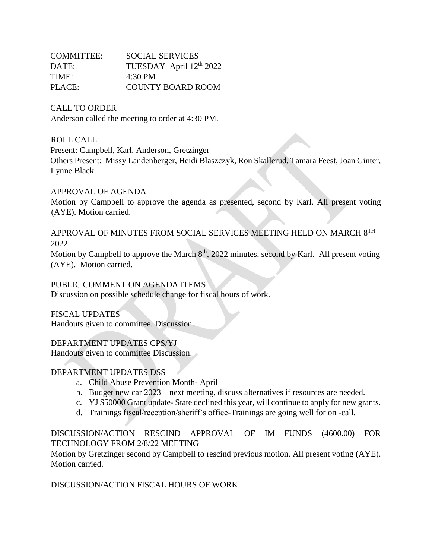| COMMITTEE: | SOCIAL SERVICES          |
|------------|--------------------------|
| DATE:      | TUESDAY April 12th 2022  |
| TIME:      | $4:30 \text{ PM}$        |
| PLACE:     | <b>COUNTY BOARD ROOM</b> |

CALL TO ORDER

Anderson called the meeting to order at 4:30 PM.

ROLL CALL

Present: Campbell, Karl, Anderson, Gretzinger

Others Present: Missy Landenberger, Heidi Blaszczyk, Ron Skallerud, Tamara Feest, Joan Ginter, Lynne Black

# APPROVAL OF AGENDA

Motion by Campbell to approve the agenda as presented, second by Karl. All present voting (AYE). Motion carried.

APPROVAL OF MINUTES FROM SOCIAL SERVICES MEETING HELD ON MARCH 8TH 2022.

Motion by Campbell to approve the March  $8<sup>th</sup>$ , 2022 minutes, second by Karl. All present voting (AYE). Motion carried.

PUBLIC COMMENT ON AGENDA ITEMS

Discussion on possible schedule change for fiscal hours of work.

FISCAL UPDATES Handouts given to committee. Discussion.

DEPARTMENT UPDATES CPS/YJ

Handouts given to committee Discussion.

# DEPARTMENT UPDATES DSS

- a. Child Abuse Prevention Month- April
- b. Budget new car 2023 next meeting, discuss alternatives if resources are needed.
- c. YJ \$50000 Grant update- State declined this year, will continue to apply for new grants.
- d. Trainings fiscal/reception/sheriff's office-Trainings are going well for on -call.

DISCUSSION/ACTION RESCIND APPROVAL OF IM FUNDS (4600.00) FOR TECHNOLOGY FROM 2/8/22 MEETING

Motion by Gretzinger second by Campbell to rescind previous motion. All present voting (AYE). Motion carried.

DISCUSSION/ACTION FISCAL HOURS OF WORK